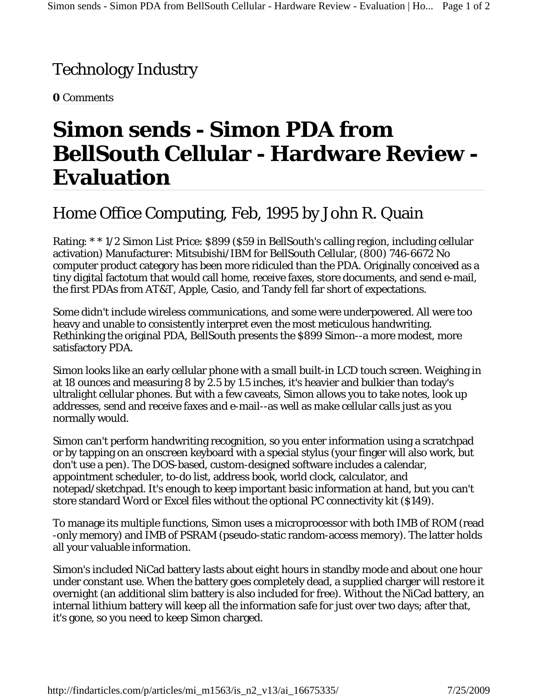## Technology Industry

**0** Comments

## **Simon sends - Simon PDA from BellSouth Cellular - Hardware Review - Evaluation**

## Home Office Computing, Feb, 1995 by John R. Quain

Rating: \* \* 1/2 Simon List Price: \$899 (\$59 in BellSouth's calling region, including cellular activation) Manufacturer: Mitsubishi/IBM for BellSouth Cellular, (800) 746-6672 No computer product category has been more ridiculed than the PDA. Originally conceived as a tiny digital factotum that would call home, receive faxes, store documents, and send e-mail, the first PDAs from AT&T, Apple, Casio, and Tandy fell far short of expectations.

Some didn't include wireless communications, and some were underpowered. All were too heavy and unable to consistently interpret even the most meticulous handwriting. Rethinking the original PDA, BellSouth presents the \$899 Simon--a more modest, more satisfactory PDA.

Simon looks like an early cellular phone with a small built-in LCD touch screen. Weighing in at 18 ounces and measuring 8 by 2.5 by 1.5 inches, it's heavier and bulkier than today's ultralight cellular phones. But with a few caveats, Simon allows you to take notes, look up addresses, send and receive faxes and e-mail--as well as make cellular calls just as you normally would.

Simon can't perform handwriting recognition, so you enter information using a scratchpad or by tapping on an onscreen keyboard with a special stylus (your finger will also work, but don't use a pen). The DOS-based, custom-designed software includes a calendar, appointment scheduler, to-do list, address book, world clock, calculator, and notepad/sketchpad. It's enough to keep important basic information at hand, but you can't store standard Word or Excel files without the optional PC connectivity kit (\$149).

To manage its multiple functions, Simon uses a microprocessor with both IMB of ROM (read -only memory) and IMB of PSRAM (pseudo-static random-access memory). The latter holds all your valuable information.

Simon's included NiCad battery lasts about eight hours in standby mode and about one hour under constant use. When the battery goes completely dead, a supplied charger will restore it overnight (an additional slim battery is also included for free). Without the NiCad battery, an internal lithium battery will keep all the information safe for just over two days; after that, it's gone, so you need to keep Simon charged.